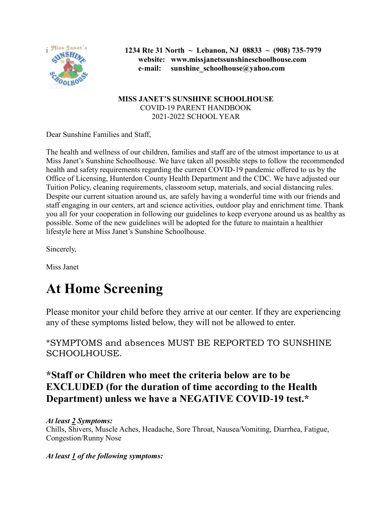

i **1234 Rte 31 North ~ Lebanon, NJ 08833 ~ (908) 735-7979 website: www.missjanetssunshineschoolhouse.com e-mail: sunshine\_schoolhouse@yahoo.com**

> **MISS JANET'S SUNSHINE SCHOOLHOUSE** COVID-19 PARENT HANDBOOK 2021-2022 SCHOOL YEAR

Dear Sunshine Families and Staff,

The health and wellness of our children, families and staff are of the utmost importance to us at Miss Janet's Sunshine Schoolhouse. We have taken all possible steps to follow the recommended health and safety requirements regarding the current COVID-19 pandemic offered to us by the Office of Licensing, Hunterdon County Health Department and the CDC. We have adjusted our Tuition Policy, cleaning requirements, classroom setup, materials, and social distancing rules. Despite our current situation around us, are safely having a wonderful time with our friends and staff engaging in our centers, art and science activities, outdoor play and enrichment time. Thank you all for your cooperation in following our guidelines to keep everyone around us as healthy as possible. Some of the new guidelines will be adopted for the future to maintain a healthier lifestyle here at Miss Janet's Sunshine Schoolhouse.

Sincerely,

Miss Janet

# **At Home Screening**

Please monitor your child before they arrive at our center. If they are experiencing any of these symptoms listed below, they will not be allowed to enter.

\*SYMPTOMS and absences MUST BE REPORTED TO SUNSHINE SCHOOLHOUSE.

#### **\*Staff or Children who meet the criteria below are to be EXCLUDED (for the duration of time according to the Health Department) unless we have a NEGATIVE COVID-19 test.\***

#### *At least 2 Symptoms:* Chills, Shivers, Muscle Aches, Headache, Sore Throat, Nausea/Vomiting, Diarrhea, Fatigue, Congestion/Runny Nose

*At least 1 of the following symptoms:*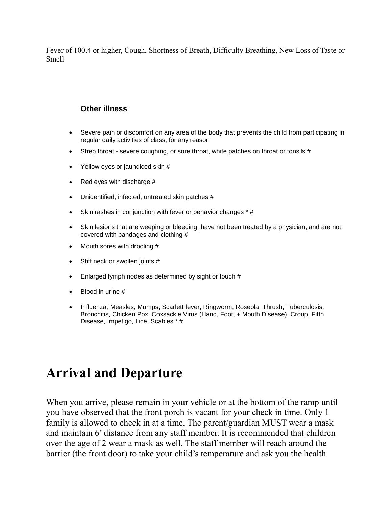Fever of 100.4 or higher, Cough, Shortness of Breath, Difficulty Breathing, New Loss of Taste or Smell

#### **Other illness**:

- Severe pain or discomfort on any area of the body that prevents the child from participating in regular daily activities of class, for any reason
- Strep throat severe coughing, or sore throat, white patches on throat or tonsils #
- Yellow eyes or jaundiced skin #
- $\bullet$  Red eyes with discharge #
- Unidentified, infected, untreated skin patches #
- Skin rashes in conjunction with fever or behavior changes \* #
- Skin lesions that are weeping or bleeding, have not been treated by a physician, and are not covered with bandages and clothing #
- Mouth sores with drooling #
- Stiff neck or swollen joints #
- Enlarged lymph nodes as determined by sight or touch #
- Blood in urine #
- Influenza, Measles, Mumps, Scarlett fever, Ringworm, Roseola, Thrush, Tuberculosis, Bronchitis, Chicken Pox, Coxsackie Virus (Hand, Foot, + Mouth Disease), Croup, Fifth Disease, Impetigo, Lice, Scabies \* #

### **Arrival and Departure**

When you arrive, please remain in your vehicle or at the bottom of the ramp until you have observed that the front porch is vacant for your check in time. Only 1 family is allowed to check in at a time. The parent/guardian MUST wear a mask and maintain 6' distance from any staff member. It is recommended that children over the age of 2 wear a mask as well. The staff member will reach around the barrier (the front door) to take your child's temperature and ask you the health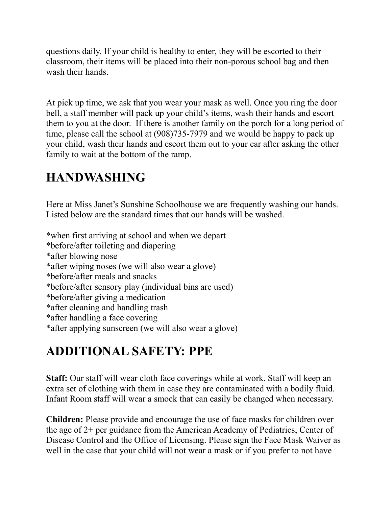questions daily. If your child is healthy to enter, they will be escorted to their classroom, their items will be placed into their non-porous school bag and then wash their hands.

At pick up time, we ask that you wear your mask as well. Once you ring the door bell, a staff member will pack up your child's items, wash their hands and escort them to you at the door. If there is another family on the porch for a long period of time, please call the school at (908)735-7979 and we would be happy to pack up your child, wash their hands and escort them out to your car after asking the other family to wait at the bottom of the ramp.

# **HANDWASHING**

Here at Miss Janet's Sunshine Schoolhouse we are frequently washing our hands. Listed below are the standard times that our hands will be washed.

\*when first arriving at school and when we depart \*before/after toileting and diapering \*after blowing nose \*after wiping noses (we will also wear a glove) \*before/after meals and snacks \*before/after sensory play (individual bins are used) \*before/after giving a medication \*after cleaning and handling trash \*after handling a face covering \*after applying sunscreen (we will also wear a glove)

# **ADDITIONAL SAFETY: PPE**

**Staff:** Our staff will wear cloth face coverings while at work. Staff will keep an extra set of clothing with them in case they are contaminated with a bodily fluid. Infant Room staff will wear a smock that can easily be changed when necessary.

**Children:** Please provide and encourage the use of face masks for children over the age of 2+ per guidance from the American Academy of Pediatrics, Center of Disease Control and the Office of Licensing. Please sign the Face Mask Waiver as well in the case that your child will not wear a mask or if you prefer to not have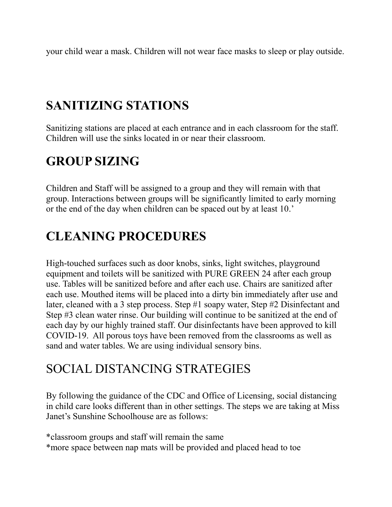your child wear a mask. Children will not wear face masks to sleep or play outside.

# **SANITIZING STATIONS**

Sanitizing stations are placed at each entrance and in each classroom for the staff. Children will use the sinks located in or near their classroom.

# **GROUP SIZING**

Children and Staff will be assigned to a group and they will remain with that group. Interactions between groups will be significantly limited to early morning or the end of the day when children can be spaced out by at least 10.'

### **CLEANING PROCEDURES**

High-touched surfaces such as door knobs, sinks, light switches, playground equipment and toilets will be sanitized with PURE GREEN 24 after each group use. Tables will be sanitized before and after each use. Chairs are sanitized after each use. Mouthed items will be placed into a dirty bin immediately after use and later, cleaned with a 3 step process. Step #1 soapy water, Step #2 Disinfectant and Step #3 clean water rinse. Our building will continue to be sanitized at the end of each day by our highly trained staff. Our disinfectants have been approved to kill COVID-19. All porous toys have been removed from the classrooms as well as sand and water tables. We are using individual sensory bins.

### SOCIAL DISTANCING STRATEGIES

By following the guidance of the CDC and Office of Licensing, social distancing in child care looks different than in other settings. The steps we are taking at Miss Janet's Sunshine Schoolhouse are as follows:

\*classroom groups and staff will remain the same \*more space between nap mats will be provided and placed head to toe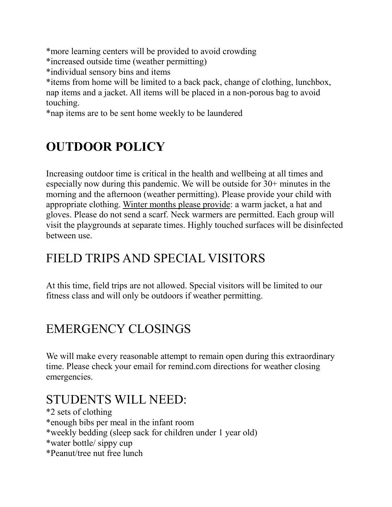\*more learning centers will be provided to avoid crowding \*increased outside time (weather permitting) \*individual sensory bins and items \*items from home will be limited to a back pack, change of clothing, lunchbox, nap items and a jacket. All items will be placed in a non-porous bag to avoid touching.

\*nap items are to be sent home weekly to be laundered

# **OUTDOOR POLICY**

Increasing outdoor time is critical in the health and wellbeing at all times and especially now during this pandemic. We will be outside for 30+ minutes in the morning and the afternoon (weather permitting). Please provide your child with appropriate clothing. Winter months please provide: a warm jacket, a hat and gloves. Please do not send a scarf. Neck warmers are permitted. Each group will visit the playgrounds at separate times. Highly touched surfaces will be disinfected between use.

### FIELD TRIPS AND SPECIAL VISITORS

At this time, field trips are not allowed. Special visitors will be limited to our fitness class and will only be outdoors if weather permitting.

### EMERGENCY CLOSINGS

We will make every reasonable attempt to remain open during this extraordinary time. Please check your email for remind.com directions for weather closing emergencies.

#### STUDENTS WILL NEED:

\*2 sets of clothing \*enough bibs per meal in the infant room \*weekly bedding (sleep sack for children under 1 year old) \*water bottle/ sippy cup \*Peanut/tree nut free lunch